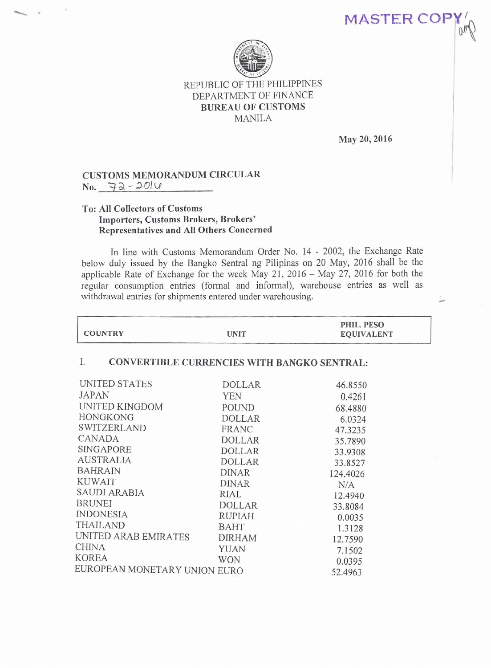## REPUBLIC OF THE PHILIPPINES DEPARTMENT OF FINANCE BUREAU OF CUSTOMS MANILA

May 20, 2016

MASTER COP

## CUSTOMS MEMORANDUM CIRCULAR No. 3-&- *~O/v*

## To: All Collectors of Customs Importers, Customs Brokers, Brokers' Representatives and All Others Concerned

In line with Customs Memorandum Order No. 14 - 2002, the Exchange Rate below duly issued by the Bangko Sentral ng Pilipinas on 20 May, 2016 shall be the applicable Rate of Exchange for the week May 21, 2016 - May 27, 2016 for both the regular consumption entries (formal and informal), warehouse entries as well as withdrawal entries for shipments entered under warehousing.

| <b>COUNTRY</b>                                    | <b>UNIT</b>   | PHIL. PESO<br><b>EQUIVALENT</b> |  |
|---------------------------------------------------|---------------|---------------------------------|--|
| Ι.<br>CONVERTIBLE CURRENCIES WITH BANGKO SENTRAL: |               |                                 |  |
| UNITED STATES                                     | <b>DOLLAR</b> | 46.8550                         |  |
| <b>JAPAN</b>                                      | <b>YEN</b>    | 0.4261                          |  |
| UNITED KINGDOM                                    | POUND         | 68.4880                         |  |
| <b>HONGKONG</b>                                   | <b>DOLLAR</b> | 6.0324                          |  |
| SWITZERLAND                                       | FRANC         | 47.3235                         |  |
| CANADA                                            | <b>DOLLAR</b> | 35.7890                         |  |
| <b>SINGAPORE</b>                                  | <b>DOLLAR</b> | 33.9308                         |  |
| <b>AUSTRALIA</b>                                  | <b>DOLLAR</b> | 33.8527                         |  |
| <b>BAHRAIN</b>                                    | <b>DINAR</b>  | 124.4026                        |  |
| <b>KUWAIT</b>                                     | <b>DINAR</b>  | N/A                             |  |
| SAUDI ARABIA                                      | RIAL          | 12.4940                         |  |
| <b>BRUNEI</b>                                     | <b>DOLLAR</b> | 33.8084                         |  |
| <b>INDONESIA</b>                                  | <b>RUPIAH</b> | 0.0035                          |  |
| <b>THAILAND</b>                                   | <b>BAHT</b>   | 1.3128                          |  |
| UNITED ARAB EMIRATES                              | <b>DIRHAM</b> | 12.7590                         |  |
| <b>CHINA</b>                                      | <b>YUAN</b>   | 7.1502                          |  |
| <b>KOREA</b>                                      | <b>WON</b>    | 0.0395                          |  |
| EUROPEAN MONETARY UNION EURO                      |               | 52.4963                         |  |